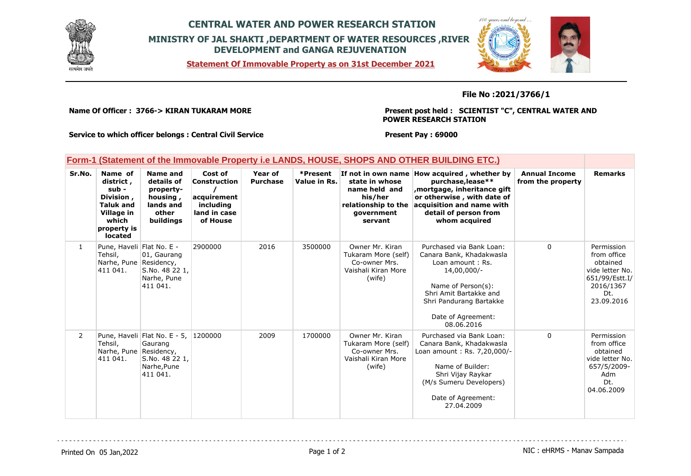

## **CENTRAL WATER AND POWER RESEARCH STATION MINISTRY OF JAL SHAKTI ,DEPARTMENT OF WATER RESOURCES ,RIVER DEVELOPMENT and GANGA REJUVENATION**

**Form-1 (Statement of the Immovable Property i.e LANDS, HOUSE, SHOPS AND OTHER BUILDING ETC.)**

**Statement Of Immovable Property as on 31st December 2021**



**File No :2021/3766/1**

**Name Of Officer : 3766-> KIRAN TUKARAM MORE** 

**Present post held : SCIENTIST "C", CENTRAL WATER AND POWER RESEARCH STATION**

> Name of Builder: Shri Vijay Raykar (M/s Sumeru Developers) Date of Agreement: 27.04.2009

**Service to which officer belongs : Central Civil Service**

S.No. 48 22 1, Narhe,Pune 411 041.

**Present Pay : 69000**

|              | rorm-1 (Statement of the immovable Property i.e LANDS, HOUSE, SHOPS AND OTHER BUILDING ETC.)                           |                                                                                    |                                                                                        |                            |                          |                                                                                                                  |                                                                                                                                                                                                        |                                           |                                                                                                              |  |
|--------------|------------------------------------------------------------------------------------------------------------------------|------------------------------------------------------------------------------------|----------------------------------------------------------------------------------------|----------------------------|--------------------------|------------------------------------------------------------------------------------------------------------------|--------------------------------------------------------------------------------------------------------------------------------------------------------------------------------------------------------|-------------------------------------------|--------------------------------------------------------------------------------------------------------------|--|
| Sr.No.       | Name of<br>district,<br>sub -<br>Division,<br><b>Taluk and</b><br>Village in<br>which<br>property is<br><b>located</b> | Name and<br>details of<br>property-<br>housing,<br>lands and<br>other<br>buildings | Cost of<br><b>Construction</b><br>acquirement<br>including<br>land in case<br>of House | Year of<br><b>Purchase</b> | *Present<br>Value in Rs. | If not in own name<br>state in whose<br>name held and<br>his/her<br>relationship to the<br>government<br>servant | How acquired, whether by<br>purchase, lease**<br>mortgage, inheritance gift,<br>or otherwise, with date of<br>acquisition and name with<br>detail of person from<br>whom acquired                      | <b>Annual Income</b><br>from the property | <b>Remarks</b>                                                                                               |  |
| $\mathbf{1}$ | Pune, Haveli Flat No. E -<br>Tehsil,<br>Narhe, Pune Residency,<br>411 041.                                             | 01, Gaurang<br>S.No. 48 22 1,<br>Narhe, Pune<br>411 041.                           | 2900000                                                                                | 2016                       | 3500000                  | Owner Mr. Kiran<br>Tukaram More (self)<br>Co-owner Mrs.<br>Vaishali Kiran More<br>(wife)                         | Purchased via Bank Loan:<br>Canara Bank, Khadakwasla<br>Loan amount: Rs.<br>14,00,000/-<br>Name of Person(s):<br>Shri Amit Bartakke and<br>Shri Pandurang Bartakke<br>Date of Agreement:<br>08.06.2016 | $\mathbf{0}$                              | Permission<br>from office<br>obtained<br>vide letter No.<br>651/99/Estt.I/<br>2016/1367<br>Dt.<br>23.09.2016 |  |
| $\mathbf{2}$ | Tehsil,<br>Narhe, Pune Residency,                                                                                      | Pune, Haveli Flat No. E - 5,<br>Gaurang                                            | 1200000                                                                                | 2009                       | 1700000                  | Owner Mr. Kiran<br>Tukaram More (self)<br>Co-owner Mrs.                                                          | Purchased via Bank Loan:<br>Canara Bank, Khadakwasla<br>Loan amount: Rs. 7,20,000/-                                                                                                                    | $\Omega$                                  | Permission<br>from office<br>obtained                                                                        |  |

Vaishali Kiran More (wife)

411 041.

vide letter No. 657/5/2009- Adm Dt. 04.06.2009